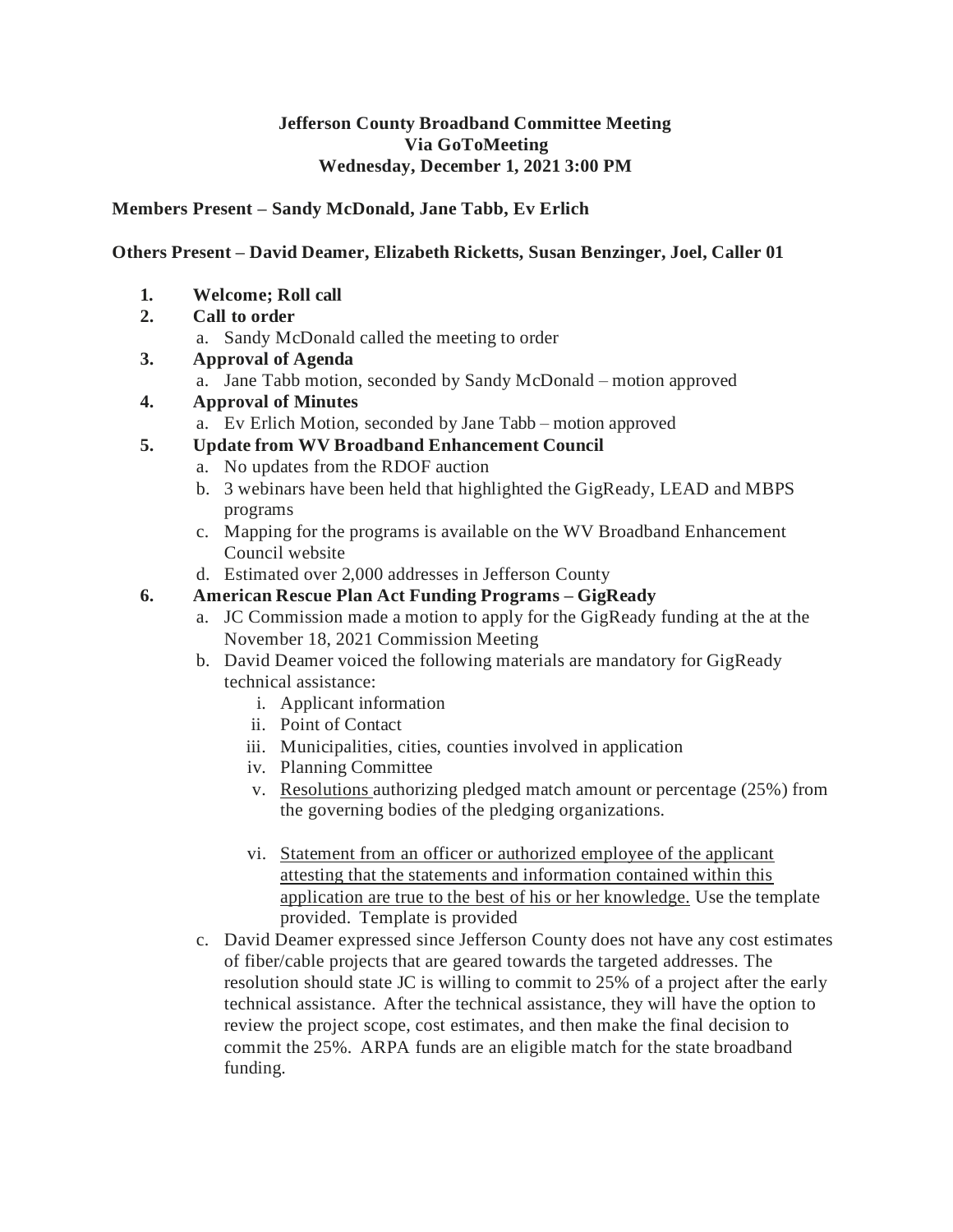### **Jefferson County Broadband Committee Meeting Via GoToMeeting Wednesday, December 1, 2021 3:00 PM**

### **Members Present – Sandy McDonald, Jane Tabb, Ev Erlich**

### **Others Present – David Deamer, Elizabeth Ricketts, Susan Benzinger, Joel, Caller 01**

- **1. Welcome; Roll call**
- **2. Call to order**
	- a. Sandy McDonald called the meeting to order
- **3. Approval of Agenda**
	- a. Jane Tabb motion, seconded by Sandy McDonald motion approved
- **4. Approval of Minutes**
	- a. Ev Erlich Motion, seconded by Jane Tabb motion approved
- **5. Update from WV Broadband Enhancement Council**
	- a. No updates from the RDOF auction
	- b. 3 webinars have been held that highlighted the GigReady, LEAD and MBPS programs
	- c. Mapping for the programs is available on the WV Broadband Enhancement Council website
	- d. Estimated over 2,000 addresses in Jefferson County

### **6. American Rescue Plan Act Funding Programs – GigReady**

- a. JC Commission made a motion to apply for the GigReady funding at the at the November 18, 2021 Commission Meeting
- b. David Deamer voiced the following materials are mandatory for GigReady technical assistance:
	- i. Applicant information
	- ii. Point of Contact
	- iii. Municipalities, cities, counties involved in application
	- iv. Planning Committee
	- v. Resolutions authorizing pledged match amount or percentage (25%) from the governing bodies of the pledging organizations.
	- vi. Statement from an officer or authorized employee of the applicant attesting that the statements and information contained within this application are true to the best of his or her knowledge. Use the template provided. Template is provided
- c. David Deamer expressed since Jefferson County does not have any cost estimates of fiber/cable projects that are geared towards the targeted addresses. The resolution should state JC is willing to commit to 25% of a project after the early technical assistance. After the technical assistance, they will have the option to review the project scope, cost estimates, and then make the final decision to commit the 25%. ARPA funds are an eligible match for the state broadband funding.